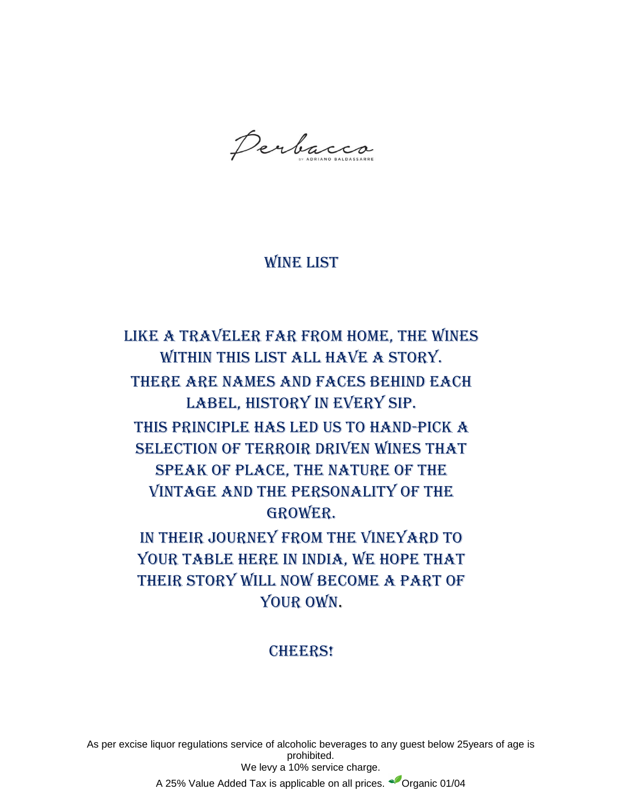Perbacco

# WINE LIST

Like a traveler far from home, the wines within this list all have a story. There are names and faces behind each label, history in every sip. This principle has led us to hand-pick a selection of terroir driven wines that speak of place, the nature of the vintage and the personality of the grower. In their journey from the vineyard to YOUR TABLE HERE IN INDIA, WE HOPE THAT their story will now become a part of

YOUR OWN.

## **CHEERS!**

As per excise liquor regulations service of alcoholic beverages to any guest below 25years of age is prohibited. We levy a 10% service charge. A 25% Value Added Tax is applicable on all prices. <sup>O</sup> Organic 01/04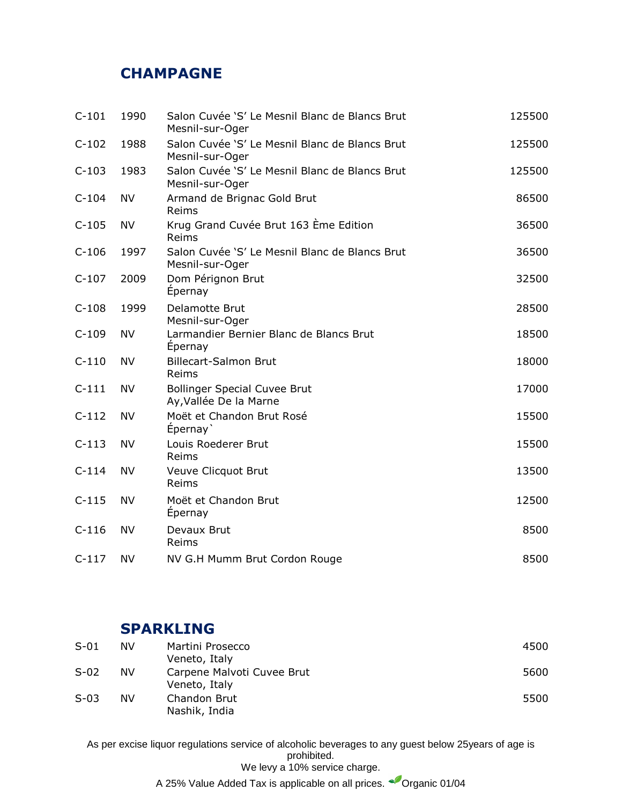## **CHAMPAGNE**

| $C-101$ | 1990      | Salon Cuvée 'S' Le Mesnil Blanc de Blancs Brut<br>Mesnil-sur-Oger | 125500 |
|---------|-----------|-------------------------------------------------------------------|--------|
| $C-102$ | 1988      | Salon Cuvée 'S' Le Mesnil Blanc de Blancs Brut<br>Mesnil-sur-Oger | 125500 |
| $C-103$ | 1983      | Salon Cuvée 'S' Le Mesnil Blanc de Blancs Brut<br>Mesnil-sur-Oger | 125500 |
| $C-104$ | <b>NV</b> | Armand de Brignac Gold Brut<br>Reims                              | 86500  |
| $C-105$ | <b>NV</b> | Krug Grand Cuvée Brut 163 Ème Edition<br>Reims                    | 36500  |
| $C-106$ | 1997      | Salon Cuvée 'S' Le Mesnil Blanc de Blancs Brut<br>Mesnil-sur-Oger | 36500  |
| $C-107$ | 2009      | Dom Pérignon Brut<br>Epernay                                      | 32500  |
| $C-108$ | 1999      | Delamotte Brut<br>Mesnil-sur-Oger                                 | 28500  |
| $C-109$ | <b>NV</b> | Larmandier Bernier Blanc de Blancs Brut<br>Epernay                | 18500  |
| $C-110$ | <b>NV</b> | <b>Billecart-Salmon Brut</b><br>Reims                             | 18000  |
| $C-111$ | <b>NV</b> | <b>Bollinger Special Cuvee Brut</b><br>Ay, Vallée De la Marne     | 17000  |
| $C-112$ | <b>NV</b> | Moët et Chandon Brut Rosé<br>Épernay                              | 15500  |
| $C-113$ | <b>NV</b> | Louis Roederer Brut<br>Reims                                      | 15500  |
| $C-114$ | <b>NV</b> | Veuve Clicquot Brut<br>Reims                                      | 13500  |
| $C-115$ | <b>NV</b> | Moët et Chandon Brut<br>Épernay                                   | 12500  |
| $C-116$ | <b>NV</b> | Devaux Brut<br>Reims                                              | 8500   |
| $C-117$ | NV        | NV G.H Mumm Brut Cordon Rouge                                     | 8500   |

## **SPARKLING**

| $S-01$ | NV  | Martini Prosecco           | 4500 |
|--------|-----|----------------------------|------|
|        |     | Veneto, Italy              |      |
| $S-02$ | NV. | Carpene Malvoti Cuvee Brut | 5600 |
|        |     | Veneto, Italy              |      |
| $S-03$ | NV  | Chandon Brut               | 5500 |
|        |     | Nashik, India              |      |

As per excise liquor regulations service of alcoholic beverages to any guest below 25years of age is prohibited. We levy a 10% service charge.

A 25% Value Added Tax is applicable on all prices.  $\bullet$  Organic 01/04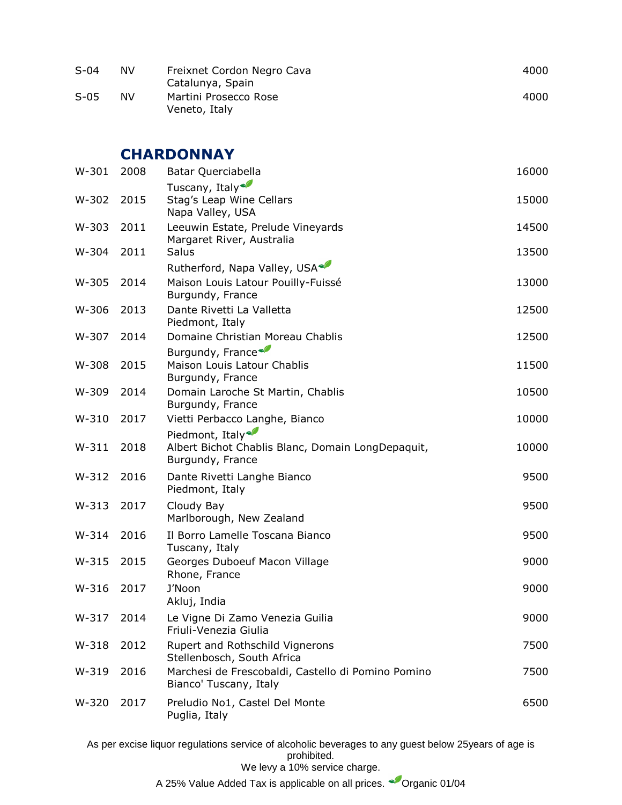| $S-04$ | NV | Freixnet Cordon Negro Cava<br>Catalunya, Spain | 4000 |
|--------|----|------------------------------------------------|------|
| $S-05$ | NV | Martini Prosecco Rose<br>Veneto, Italy         | 4000 |

### **CHARDONNAY**

| $W-301$ | 2008 | Batar Querciabella                                                                                   | 16000 |
|---------|------|------------------------------------------------------------------------------------------------------|-------|
| W-302   | 2015 | Tuscany, Italy<br>Stag's Leap Wine Cellars<br>Napa Valley, USA                                       | 15000 |
| W-303   | 2011 | Leeuwin Estate, Prelude Vineyards<br>Margaret River, Australia                                       | 14500 |
| W-304   | 2011 | Salus                                                                                                | 13500 |
| $W-305$ | 2014 | Rutherford, Napa Valley, USA<br>Maison Louis Latour Pouilly-Fuissé<br>Burgundy, France               | 13000 |
| W-306   | 2013 | Dante Rivetti La Valletta<br>Piedmont, Italy                                                         | 12500 |
| W-307   | 2014 | Domaine Christian Moreau Chablis                                                                     | 12500 |
| W-308   | 2015 | Burgundy, France<br>Maison Louis Latour Chablis<br>Burgundy, France                                  | 11500 |
| W-309   | 2014 | Domain Laroche St Martin, Chablis<br>Burgundy, France                                                | 10500 |
| $W-310$ | 2017 | Vietti Perbacco Langhe, Bianco                                                                       | 10000 |
| $W-311$ | 2018 | Piedmont, Italy <sup></sup><br>Albert Bichot Chablis Blanc, Domain LongDepaquit,<br>Burgundy, France | 10000 |
| $W-312$ | 2016 | Dante Rivetti Langhe Bianco<br>Piedmont, Italy                                                       | 9500  |
| $W-313$ | 2017 | Cloudy Bay<br>Marlborough, New Zealand                                                               | 9500  |
| $W-314$ | 2016 | Il Borro Lamelle Toscana Bianco<br>Tuscany, Italy                                                    | 9500  |
| $W-315$ | 2015 | Georges Duboeuf Macon Village<br>Rhone, France                                                       | 9000  |
| $W-316$ | 2017 | J'Noon<br>Akluj, India                                                                               | 9000  |
| W-317   | 2014 | Le Vigne Di Zamo Venezia Guilia<br>Friuli-Venezia Giulia                                             | 9000  |
| $W-318$ | 2012 | Rupert and Rothschild Vignerons<br>Stellenbosch, South Africa                                        | 7500  |
| $W-319$ | 2016 | Marchesi de Frescobaldi, Castello di Pomino Pomino<br>Bianco' Tuscany, Italy                         | 7500  |
| W-320   | 2017 | Preludio No1, Castel Del Monte<br>Puglia, Italy                                                      | 6500  |

As per excise liquor regulations service of alcoholic beverages to any guest below 25years of age is prohibited.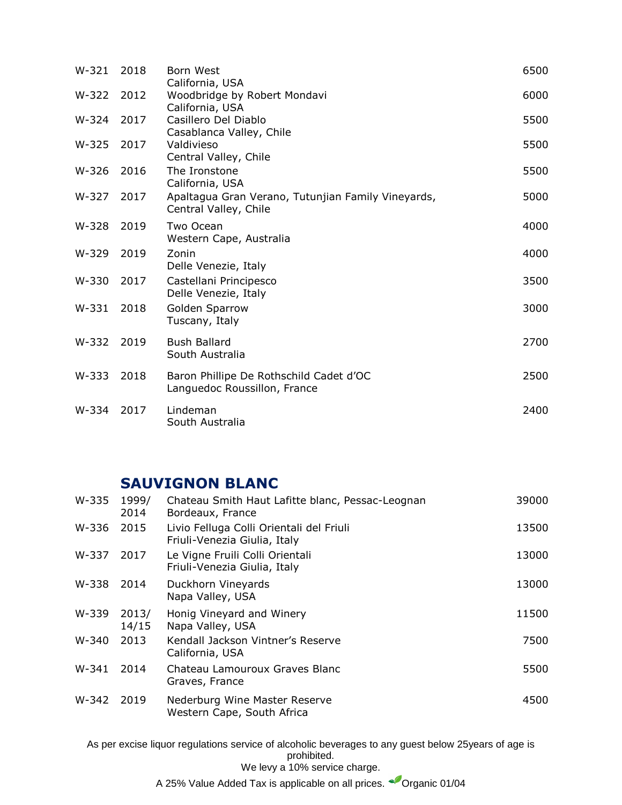| $W-321$ | 2018 | Born West<br>California, USA                                                | 6500 |
|---------|------|-----------------------------------------------------------------------------|------|
| W-322   | 2012 | Woodbridge by Robert Mondavi<br>California, USA                             | 6000 |
| W-324   | 2017 | Casillero Del Diablo<br>Casablanca Valley, Chile                            | 5500 |
| W-325   | 2017 | Valdivieso<br>Central Valley, Chile                                         | 5500 |
| W-326   | 2016 | The Ironstone<br>California, USA                                            | 5500 |
| W-327   | 2017 | Apaltagua Gran Verano, Tutunjian Family Vineyards,<br>Central Valley, Chile | 5000 |
| W-328   | 2019 | Two Ocean<br>Western Cape, Australia                                        | 4000 |
| W-329   | 2019 | Zonin<br>Delle Venezie, Italy                                               | 4000 |
| W-330   | 2017 | Castellani Principesco<br>Delle Venezie, Italy                              | 3500 |
| $W-331$ | 2018 | Golden Sparrow<br>Tuscany, Italy                                            | 3000 |
| W-332   | 2019 | <b>Bush Ballard</b><br>South Australia                                      | 2700 |
| W-333   | 2018 | Baron Phillipe De Rothschild Cadet d'OC<br>Languedoc Roussillon, France     | 2500 |
| W-334   | 2017 | Lindeman<br>South Australia                                                 | 2400 |

# **SAUVIGNON BLANC**

| W-335 | 1999/<br>2014  | Chateau Smith Haut Lafitte blanc, Pessac-Leognan<br>Bordeaux, France     | 39000 |
|-------|----------------|--------------------------------------------------------------------------|-------|
| W-336 | 2015           | Livio Felluga Colli Orientali del Friuli<br>Friuli-Venezia Giulia, Italy | 13500 |
| W-337 | 2017           | Le Vigne Fruili Colli Orientali<br>Friuli-Venezia Giulia, Italy          | 13000 |
| W-338 | 2014           | Duckhorn Vineyards<br>Napa Valley, USA                                   | 13000 |
| W-339 | 2013/<br>14/15 | Honig Vineyard and Winery<br>Napa Valley, USA                            | 11500 |
| W-340 | 2013           | Kendall Jackson Vintner's Reserve<br>California, USA                     | 7500  |
| W-341 | 2014           | Chateau Lamouroux Graves Blanc<br>Graves, France                         | 5500  |
| W-342 | 2019           | Nederburg Wine Master Reserve<br>Western Cape, South Africa              | 4500  |

As per excise liquor regulations service of alcoholic beverages to any guest below 25years of age is prohibited.

A 25% Value Added Tax is applicable on all prices. <sup>C</sup>Organic 01/04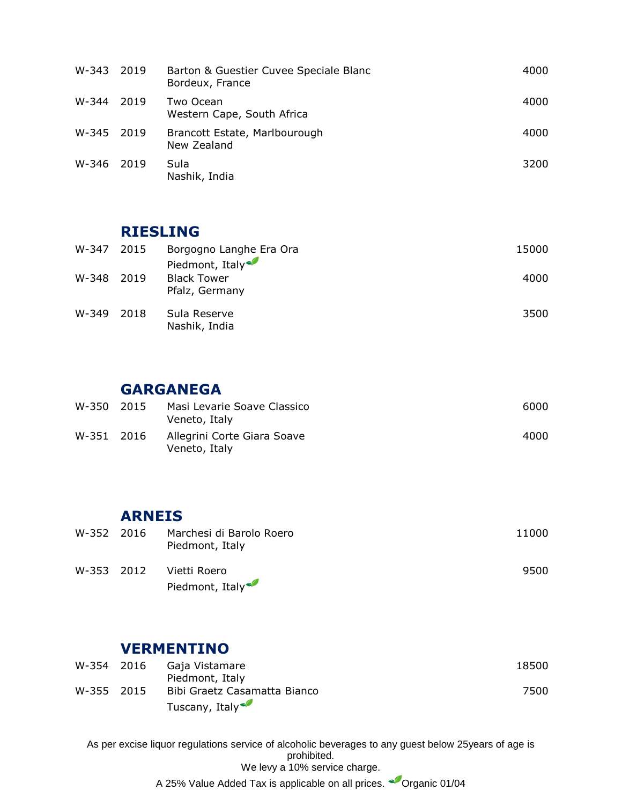| W-343 | 2019 | Barton & Guestier Cuvee Speciale Blanc<br>Bordeux, France | 4000 |
|-------|------|-----------------------------------------------------------|------|
| W-344 | 2019 | Two Ocean<br>Western Cape, South Africa                   | 4000 |
| W-345 | 2019 | Brancott Estate, Marlbourough<br>New Zealand              | 4000 |
| W-346 | 2019 | Sula<br>Nashik, India                                     | 3200 |

### **RIESLING**

| W-347 2015 |        | Borgogno Langhe Era Ora                                 | 15000 |
|------------|--------|---------------------------------------------------------|-------|
| W-348      | 2019   | Piedmont, Italy<br><b>Black Tower</b><br>Pfalz, Germany | 4000  |
| W-349      | - 2018 | Sula Reserve<br>Nashik, India                           | 3500  |

## **GARGANEGA**

| W-350 2015 | Masi Levarie Soave Classico<br>Veneto, Italy | 6000 |
|------------|----------------------------------------------|------|
| W-351 2016 | Allegrini Corte Giara Soave<br>Veneto, Italy | 4000 |

#### **ARNEIS**

| W-352 2016 | Marchesi di Barolo Roero<br>Piedmont, Italy | 11000 |
|------------|---------------------------------------------|-------|
| W-353 2012 | Vietti Roero<br>Piedmont, Italy             | 9500  |

## **VERMENTINO**

| W-354 2016 | Gaja Vistamare               | 18500 |
|------------|------------------------------|-------|
|            | Piedmont, Italy              |       |
| W-355 2015 | Bibi Graetz Casamatta Bianco | 7500  |
|            | Tuscany, Italy               |       |

As per excise liquor regulations service of alcoholic beverages to any guest below 25years of age is prohibited. We levy a 10% service charge. A 25% Value Added Tax is applicable on all prices. <sup>C</sup>Organic 01/04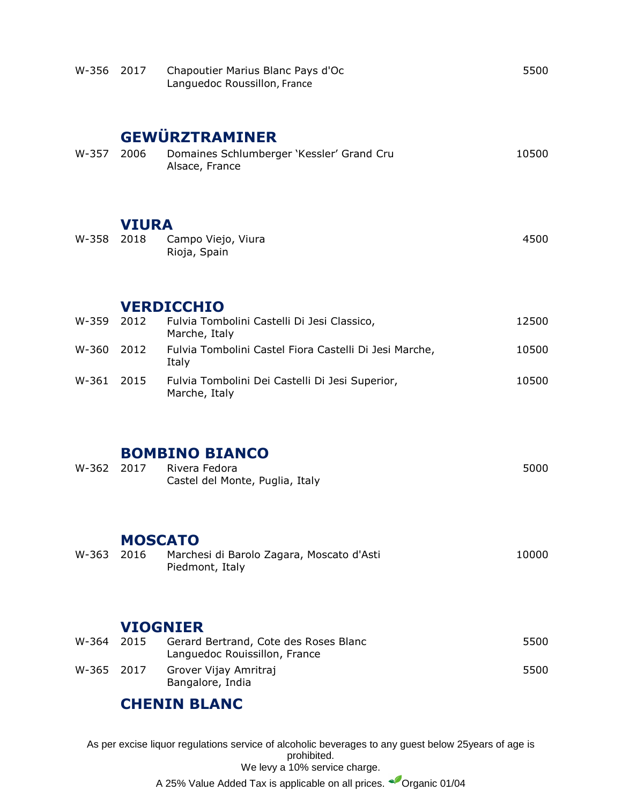| W-356          | 2017                            | Chapoutier Marius Blanc Pays d'Oc<br>Languedoc Roussillon, France                                                   | 5500         |
|----------------|---------------------------------|---------------------------------------------------------------------------------------------------------------------|--------------|
| W-357          | 2006                            | <b>GEWÜRZTRAMINER</b><br>Domaines Schlumberger 'Kessler' Grand Cru<br>Alsace, France                                | 10500        |
| W-358          | <b>VIURA</b><br>2018            | Campo Viejo, Viura<br>Rioja, Spain                                                                                  | 4500         |
| W-359          | 2012                            | <b>VERDICCHIO</b><br>Fulvia Tombolini Castelli Di Jesi Classico,<br>Marche, Italy                                   | 12500        |
| W-360 2012     |                                 | Fulvia Tombolini Castel Fiora Castelli Di Jesi Marche,<br>Italy                                                     | 10500        |
| W-361          | 2015                            | Fulvia Tombolini Dei Castelli Di Jesi Superior,<br>Marche, Italy                                                    | 10500        |
| W-362          | 2017                            | <b>BOMBINO BIANCO</b><br>Rivera Fedora<br>Castel del Monte, Puglia, Italy                                           | 5000         |
| W-363          | <b>MOSCATO</b><br>2016          | Marchesi di Barolo Zagara, Moscato d'Asti<br>Piedmont, Italy                                                        | 10000        |
| W-364<br>W-365 | <b>VIOGNIER</b><br>2015<br>2017 | Gerard Bertrand, Cote des Roses Blanc<br>Languedoc Rouissillon, France<br>Grover Vijay Amritraj<br>Bangalore, India | 5500<br>5500 |
|                |                                 | <b>CHENIN BLANC</b>                                                                                                 |              |

As per excise liquor regulations service of alcoholic beverages to any guest below 25years of age is prohibited. We levy a 10% service charge.

A 25% Value Added Tax is applicable on all prices. <sup>C</sup>Organic 01/04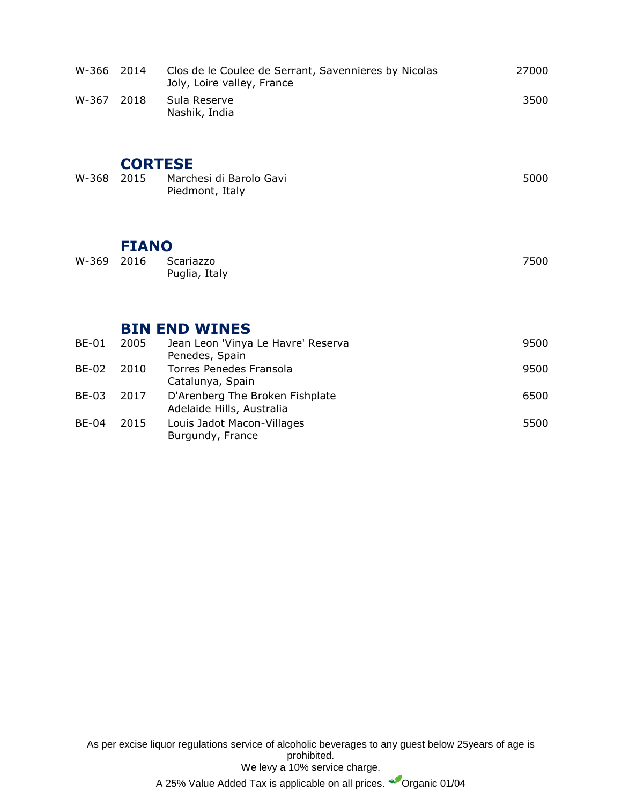| W-366        | 2014           | Clos de le Coulee de Serrant, Savennieres by Nicolas<br>Joly, Loire valley, France | 27000 |
|--------------|----------------|------------------------------------------------------------------------------------|-------|
| W-367        | 2018           | Sula Reserve<br>Nashik, India                                                      | 3500  |
|              | <b>CORTESE</b> |                                                                                    |       |
| W-368        | 2015           | Marchesi di Barolo Gavi<br>Piedmont, Italy                                         | 5000  |
|              |                |                                                                                    |       |
|              | <b>FIANO</b>   |                                                                                    |       |
| W-369        | 2016           | Scariazzo<br>Puglia, Italy                                                         | 7500  |
|              |                |                                                                                    |       |
|              |                | <b>BIN END WINES</b>                                                               |       |
| <b>BE-01</b> | 2005           | Jean Leon 'Vinya Le Havre' Reserva<br>Penedes, Spain                               | 9500  |
| <b>BE-02</b> | 2010           | <b>Torres Penedes Fransola</b><br>Catalunya, Spain                                 | 9500  |
| <b>BE-03</b> | 2017           | D'Arenberg The Broken Fishplate<br>Adelaide Hills, Australia                       | 6500  |
| <b>BE-04</b> | 2015           | Louis Jadot Macon-Villages                                                         | 5500  |

Burgundy, France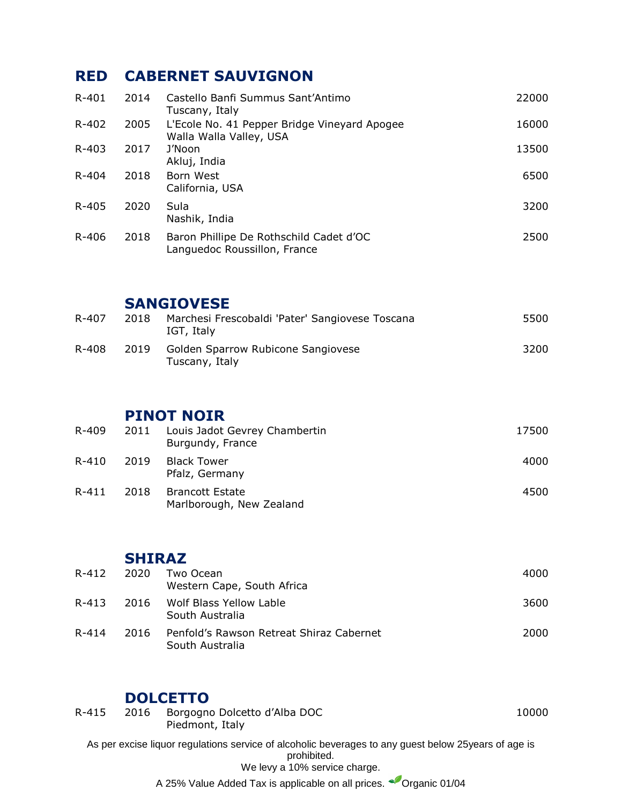# **RED CABERNET SAUVIGNON**

| $R - 401$ | 2014 | Castello Banfi Summus Sant'Antimo<br>Tuscany, Italy                     | 22000 |
|-----------|------|-------------------------------------------------------------------------|-------|
| R-402     | 2005 | L'Ecole No. 41 Pepper Bridge Vineyard Apogee<br>Walla Walla Valley, USA | 16000 |
| $R - 403$ | 2017 | J'Noon<br>Akluj, India                                                  | 13500 |
| $R - 404$ | 2018 | Born West<br>California, USA                                            | 6500  |
| R-405     | 2020 | Sula<br>Nashik, India                                                   | 3200  |
| R-406     | 2018 | Baron Phillipe De Rothschild Cadet d'OC<br>Languedoc Roussillon, France | 2500  |

### **SANGIOVESE**

| R-407 | 2018 | Marchesi Frescobaldi 'Pater' Sangiovese Toscana<br>IGT, Italy | 5500 |
|-------|------|---------------------------------------------------------------|------|
| R-408 | 2019 | Golden Sparrow Rubicone Sangiovese<br>Tuscany, Italy          | 3200 |

# **PINOT NOIR**

| R-409     | 2011 | Louis Jadot Gevrey Chambertin<br>Burgundy, France  | 17500 |
|-----------|------|----------------------------------------------------|-------|
| R-410     | 2019 | <b>Black Tower</b><br>Pfalz, Germany               | 4000  |
| $R - 411$ | 2018 | <b>Brancott Estate</b><br>Marlborough, New Zealand | 4500  |

#### **SHIRAZ**

| R-412     | 2020 | Two Ocean<br>Western Cape, South Africa                     | 4000 |
|-----------|------|-------------------------------------------------------------|------|
| $R - 413$ | 2016 | Wolf Blass Yellow Lable<br>South Australia                  | 3600 |
| R-414     | 2016 | Penfold's Rawson Retreat Shiraz Cabernet<br>South Australia | 2000 |

### **DOLCETTO**

| $R - 415$ | 2016 | Borgogno Dolcetto d'Alba DOC<br>Piedmont, Italy                                                                      | 10000 |
|-----------|------|----------------------------------------------------------------------------------------------------------------------|-------|
|           |      | As per excise liquor regulations service of alcoholic beverages to any quest below 25 years of age is<br>prohibited. |       |
|           |      | We levy a 10% service charge.                                                                                        |       |

A 25% Value Added Tax is applicable on all prices. <br>
Organic 01/04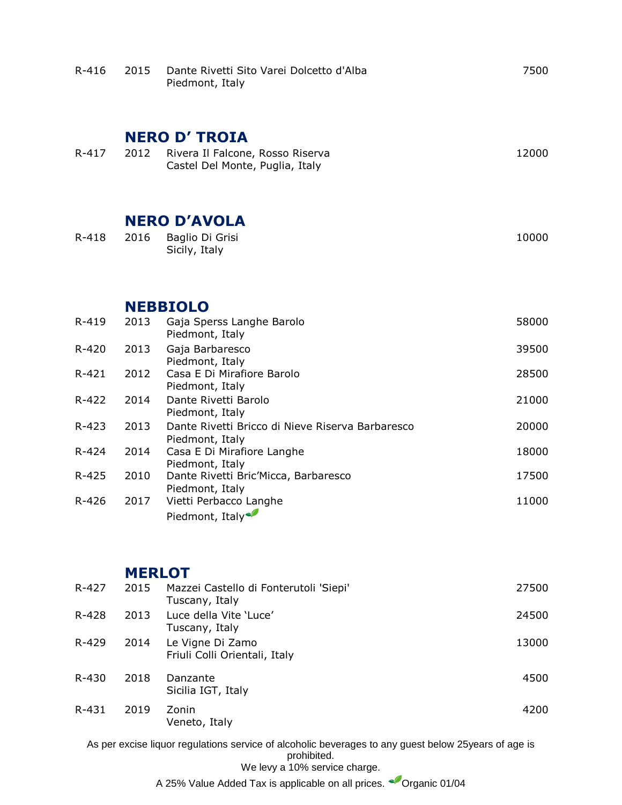| $R - 416$ | 2015 | Dante Rivetti Sito Varei Dolcetto d'Alba<br>Piedmont, Italy                                                          | 7500  |
|-----------|------|----------------------------------------------------------------------------------------------------------------------|-------|
| $R - 417$ | 2012 | <b>NERO D' TROIA</b>                                                                                                 | 12000 |
|           |      | Rivera Il Falcone, Rosso Riserva<br>Castel Del Monte, Puglia, Italy                                                  |       |
|           |      | <b>NERO D'AVOLA</b>                                                                                                  |       |
| $R - 418$ | 2016 | Baglio Di Grisi<br>Sicily, Italy                                                                                     | 10000 |
|           |      | <b>NEBBIOLO</b>                                                                                                      |       |
| R-419     | 2013 | Gaja Sperss Langhe Barolo<br>Piedmont, Italy                                                                         | 58000 |
| $R - 420$ | 2013 | Gaja Barbaresco<br>Piedmont, Italy                                                                                   | 39500 |
| $R - 421$ | 2012 | Casa E Di Mirafiore Barolo<br>Piedmont, Italy                                                                        | 28500 |
| $R - 422$ | 2014 | Dante Rivetti Barolo<br>Piedmont, Italy                                                                              | 21000 |
| $R - 423$ | 2013 | Dante Rivetti Bricco di Nieve Riserva Barbaresco<br>Piedmont, Italy                                                  | 20000 |
| R-424     | 2014 | Casa E Di Mirafiore Langhe<br>Piedmont, Italy                                                                        | 18000 |
| $R - 425$ | 2010 | Dante Rivetti Bric'Micca, Barbaresco<br>Piedmont, Italy                                                              | 17500 |
| $R - 426$ | 2017 | Vietti Perbacco Langhe<br>Piedmont, Italy <sup>®</sup>                                                               | 11000 |
|           |      |                                                                                                                      |       |
| $R - 427$ | 2015 | <b>MERLOT</b><br>Mazzei Castello di Fonterutoli 'Siepi'                                                              | 27500 |
| $R - 428$ | 2013 | Tuscany, Italy<br>Luce della Vite 'Luce'                                                                             | 24500 |
|           |      | Tuscany, Italy                                                                                                       |       |
| R-429     | 2014 | Le Vigne Di Zamo<br>Friuli Colli Orientali, Italy                                                                    | 13000 |
| R-430     | 2018 | Danzante<br>Sicilia IGT, Italy                                                                                       | 4500  |
| R-431     | 2019 | Zonin<br>Veneto, Italy                                                                                               | 4200  |
|           |      | As per excise liquor regulations service of alcoholic beverages to any guest below 25 years of age is<br>prohibited. |       |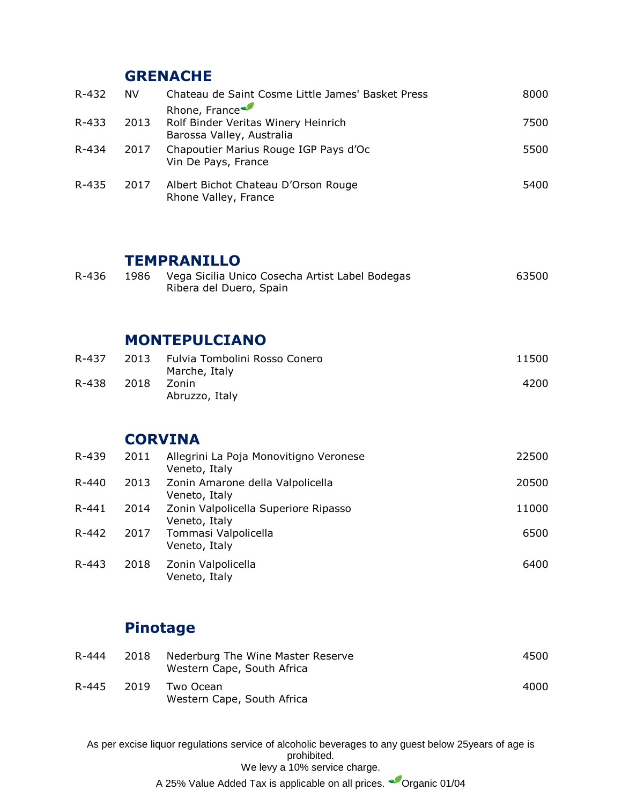## **[GRENACHE](https://www.wine-searcher.com/grape-202-grenache-garnacha)**

| R-432 | NV.  | Chateau de Saint Cosme Little James' Basket Press                                         | 8000 |
|-------|------|-------------------------------------------------------------------------------------------|------|
| R-433 | 2013 | Rhone, France<br>Rolf Binder Veritas Winery Heinrich                                      | 7500 |
| R-434 | 2017 | Barossa Valley, Australia<br>Chapoutier Marius Rouge IGP Pays d'Oc<br>Vin De Pays, France | 5500 |
| R-435 | 2017 | Albert Bichot Chateau D'Orson Rouge<br>Rhone Valley, France                               | 5400 |
|       |      |                                                                                           |      |

### **TEMPRANILLO**

| R-436 | 1986 Vega Sicilia Unico Cosecha Artist Label Bodegas | 63500 |
|-------|------------------------------------------------------|-------|
|       | Ribera del Duero, Spain                              |       |

### **MONTEPULCIANO**

| R-437 | 2013 | Fulvia Tombolini Rosso Conero<br>Marche, Italy | 11500 |
|-------|------|------------------------------------------------|-------|
| R-438 | 2018 | Zonin<br>Abruzzo, Italy                        | 4200  |

## **CORVINA**

| R-439 | 2011 | Allegrini La Poja Monovitigno Veronese<br>Veneto, Italy | 22500 |
|-------|------|---------------------------------------------------------|-------|
| R-440 | 2013 | Zonin Amarone della Valpolicella<br>Veneto, Italy       | 20500 |
| R-441 | 2014 | Zonin Valpolicella Superiore Ripasso<br>Veneto, Italy   | 11000 |
| R-442 | 2017 | Tommasi Valpolicella<br>Veneto, Italy                   | 6500  |
| R-443 | 2018 | Zonin Valpolicella<br>Veneto, Italy                     | 6400  |

# **Pinotage**

| R-444 | 2018 | Nederburg The Wine Master Reserve<br>Western Cape, South Africa | 4500 |
|-------|------|-----------------------------------------------------------------|------|
| R-445 | 2019 | Two Ocean<br>Western Cape, South Africa                         | 4000 |

As per excise liquor regulations service of alcoholic beverages to any guest below 25years of age is prohibited. We levy a 10% service charge.

A 25% Value Added Tax is applicable on all prices. <sup>C</sup>Organic 01/04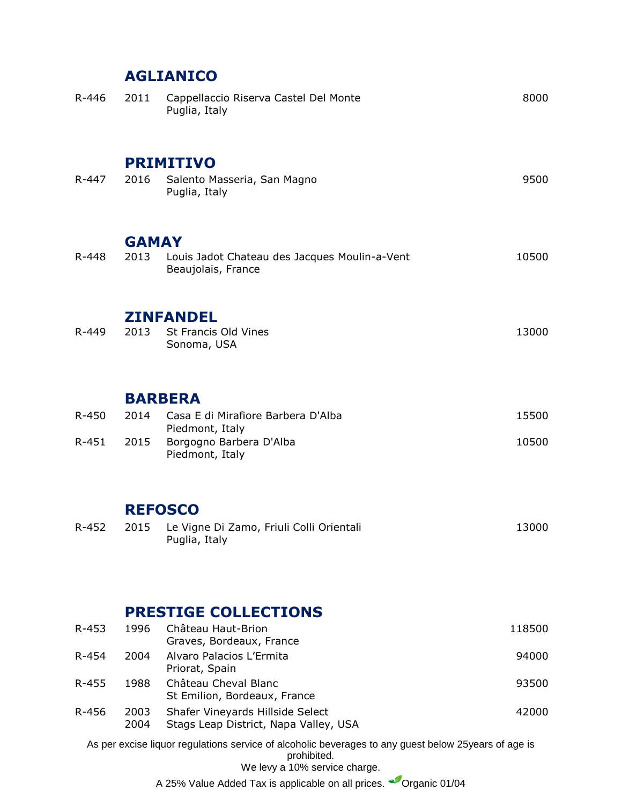# **AGLIANICO**

| R-446     | 2011                 | Cappellaccio Riserva Castel Del Monte<br>Puglia, Italy                                                                                                | 8000   |
|-----------|----------------------|-------------------------------------------------------------------------------------------------------------------------------------------------------|--------|
| R-447     | 2016                 | <b>PRIMITIVO</b><br>Salento Masseria, San Magno<br>Puglia, Italy                                                                                      | 9500   |
| R-448     | <b>GAMAY</b><br>2013 | Louis Jadot Chateau des Jacques Moulin-a-Vent<br>Beaujolais, France                                                                                   | 10500  |
| R-449     | 2013                 | <b>ZINFANDEL</b><br>St Francis Old Vines<br>Sonoma, USA                                                                                               | 13000  |
|           |                      | <b>BARBERA</b>                                                                                                                                        |        |
| R-450     | 2014                 | Casa E di Mirafiore Barbera D'Alba<br>Piedmont, Italy                                                                                                 | 15500  |
| R-451     | 2015                 | Borgogno Barbera D'Alba<br>Piedmont, Italy                                                                                                            | 10500  |
|           |                      | <b>REFOSCO</b>                                                                                                                                        |        |
| R-452     | 2015                 | Le Vigne Di Zamo, Friuli Colli Orientali<br>Puglia, Italy                                                                                             | 13000  |
|           |                      | <b>PRESTIGE COLLECTIONS</b>                                                                                                                           |        |
| $R - 453$ | 1996                 | Château Haut-Brion                                                                                                                                    | 118500 |
| R-454     | 2004                 | Graves, Bordeaux, France<br>Alvaro Palacios L'Ermita<br>Priorat, Spain                                                                                | 94000  |
| R-455     | 1988                 | Château Cheval Blanc<br>St Emilion, Bordeaux, France                                                                                                  | 93500  |
| R-456     | 2003<br>2004         | Shafer Vineyards Hillside Select<br>Stags Leap District, Napa Valley, USA                                                                             | 42000  |
|           |                      | As per excise liquor regulations service of alcoholic beverages to any guest below 25 years of age is<br>prohibited.<br>We levy a 10% service charge. |        |

A 25% Value Added Tax is applicable on all prices. <br>
Organic 01/04